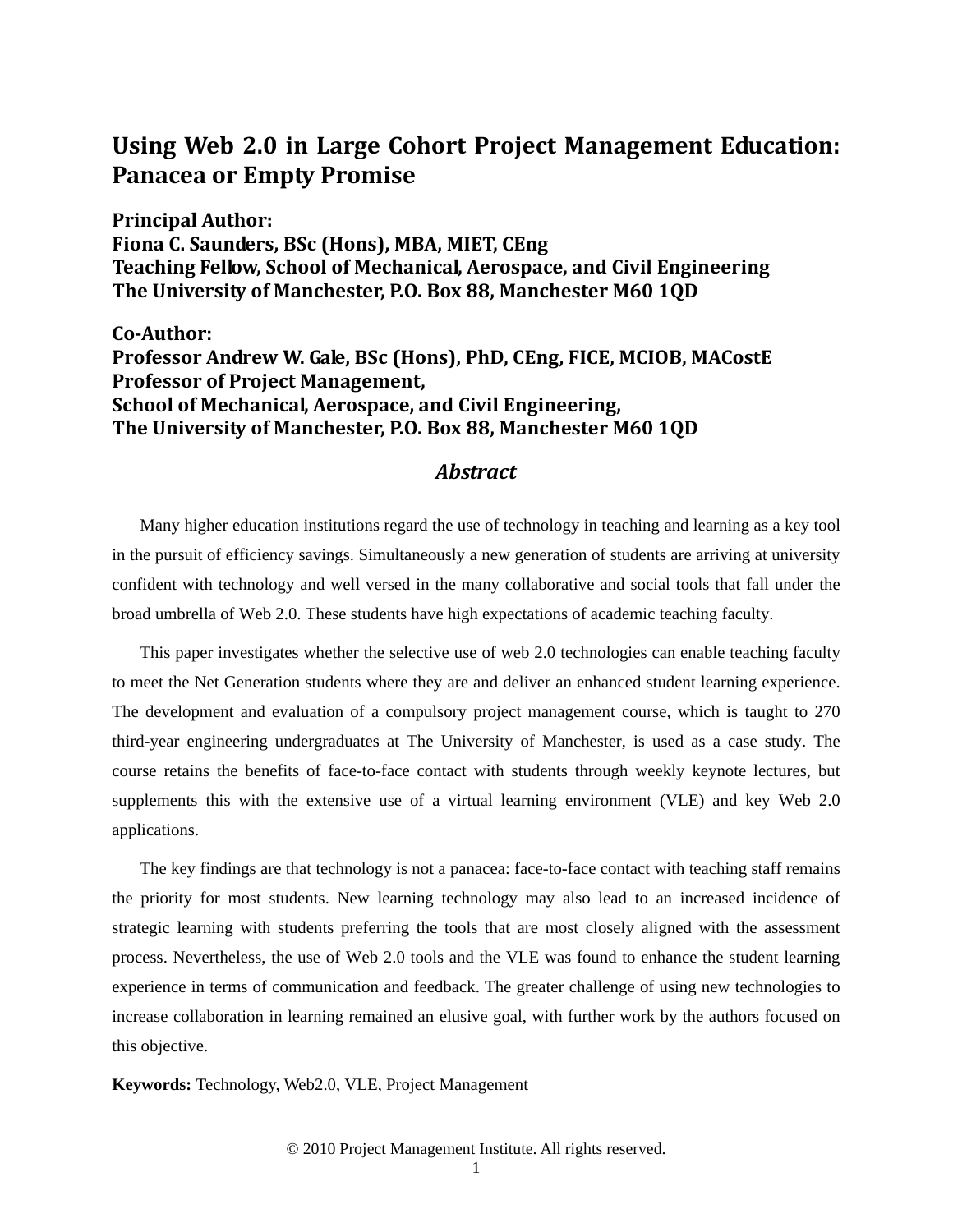## **Using Web 2.0 in Large Cohort Project Management Education: Panacea or Empty Promise**

**Principal Author: Fiona C. Saunders, BSc (Hons), MBA, MIET, CEng Teaching Fellow, School of Mechanical, Aerospace, and Civil Engineering The University of Manchester, P.O. Box 88, Manchester M60 1QD**

**CoAuthor: Professor Andrew W. Gale, BSc (Hons), PhD, CEng, FICE, MCIOB, MACostE Professor of Project Management, School of Mechanical, Aerospace, and Civil Engineering, The University of Manchester, P.O. Box 88, Manchester M60 1QD**

## *Abstract*

Many higher education institutions regard the use of technology in teaching and learning as a key tool in the pursuit of efficiency savings. Simultaneously a new generation of students are arriving at university confident with technology and well versed in the many collaborative and social tools that fall under the broad umbrella of Web 2.0. These students have high expectations of academic teaching faculty.

This paper investigates whether the selective use of web 2.0 technologies can enable teaching faculty to meet the Net Generation students where they are and deliver an enhanced student learning experience. The development and evaluation of a compulsory project management course, which is taught to 270 third-year engineering undergraduates at The University of Manchester, is used as a case study. The course retains the benefits of face-to-face contact with students through weekly keynote lectures, but supplements this with the extensive use of a virtual learning environment (VLE) and key Web 2.0 applications.

The key findings are that technology is not a panacea: face-to-face contact with teaching staff remains the priority for most students. New learning technology may also lead to an increased incidence of strategic learning with students preferring the tools that are most closely aligned with the assessment process. Nevertheless, the use of Web 2.0 tools and the VLE was found to enhance the student learning experience in terms of communication and feedback. The greater challenge of using new technologies to increase collaboration in learning remained an elusive goal, with further work by the authors focused on this objective.

**Keywords:** Technology, Web2.0, VLE, Project Management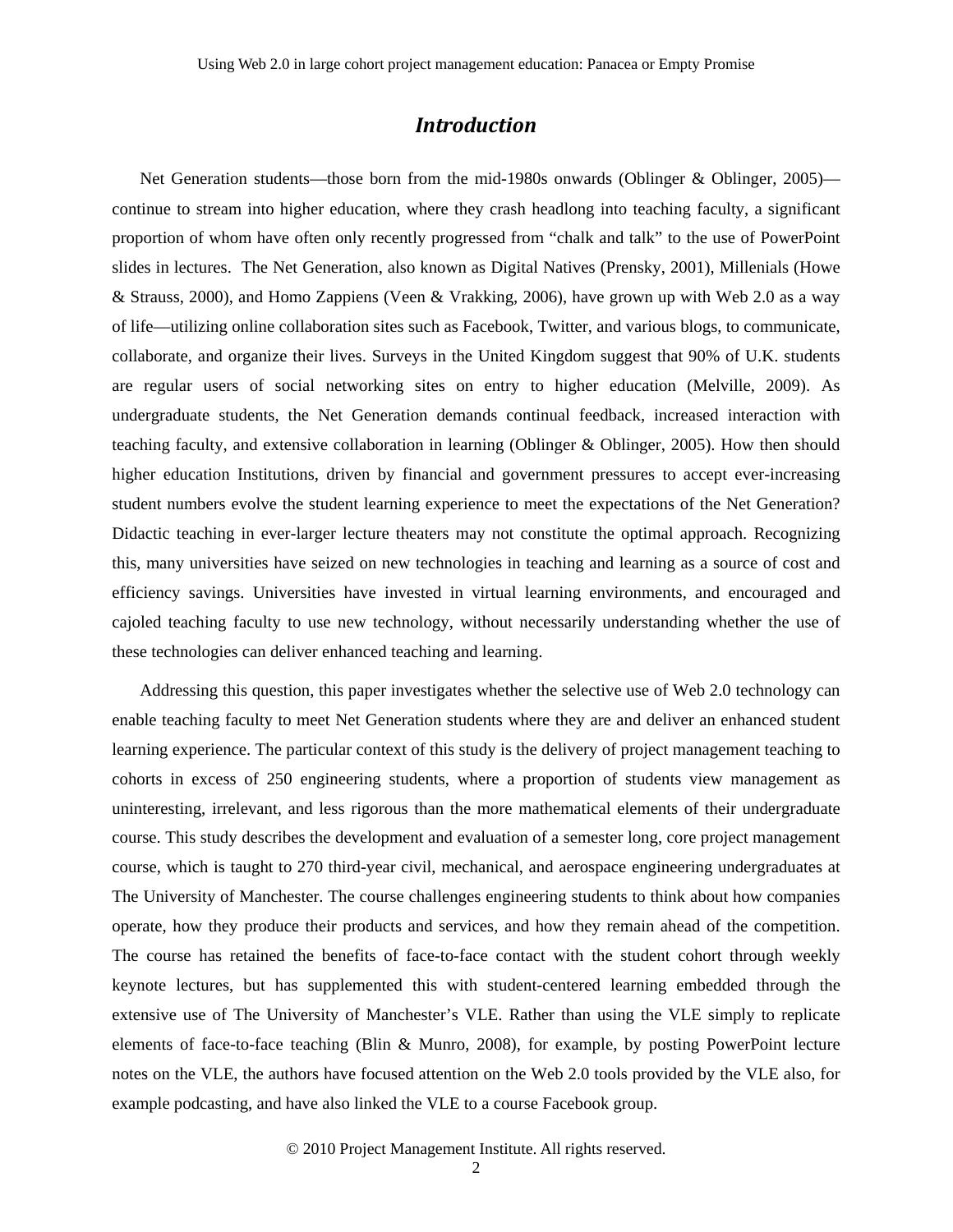### *Introduction*

Net Generation students—those born from the mid-1980s onwards (Oblinger & Oblinger, 2005) continue to stream into higher education, where they crash headlong into teaching faculty, a significant proportion of whom have often only recently progressed from "chalk and talk" to the use of PowerPoint slides in lectures. The Net Generation, also known as Digital Natives (Prensky, 2001), Millenials (Howe & Strauss, 2000), and Homo Zappiens (Veen & Vrakking, 2006), have grown up with Web 2.0 as a way of life—utilizing online collaboration sites such as Facebook, Twitter, and various blogs, to communicate, collaborate, and organize their lives. Surveys in the United Kingdom suggest that 90% of U.K. students are regular users of social networking sites on entry to higher education (Melville, 2009). As undergraduate students, the Net Generation demands continual feedback, increased interaction with teaching faculty, and extensive collaboration in learning (Oblinger & Oblinger, 2005). How then should higher education Institutions, driven by financial and government pressures to accept ever-increasing student numbers evolve the student learning experience to meet the expectations of the Net Generation? Didactic teaching in ever-larger lecture theaters may not constitute the optimal approach. Recognizing this, many universities have seized on new technologies in teaching and learning as a source of cost and efficiency savings. Universities have invested in virtual learning environments, and encouraged and cajoled teaching faculty to use new technology, without necessarily understanding whether the use of these technologies can deliver enhanced teaching and learning.

Addressing this question, this paper investigates whether the selective use of Web 2.0 technology can enable teaching faculty to meet Net Generation students where they are and deliver an enhanced student learning experience. The particular context of this study is the delivery of project management teaching to cohorts in excess of 250 engineering students, where a proportion of students view management as uninteresting, irrelevant, and less rigorous than the more mathematical elements of their undergraduate course. This study describes the development and evaluation of a semester long, core project management course, which is taught to 270 third-year civil, mechanical, and aerospace engineering undergraduates at The University of Manchester. The course challenges engineering students to think about how companies operate, how they produce their products and services, and how they remain ahead of the competition. The course has retained the benefits of face-to-face contact with the student cohort through weekly keynote lectures, but has supplemented this with student-centered learning embedded through the extensive use of The University of Manchester's VLE. Rather than using the VLE simply to replicate elements of face-to-face teaching (Blin & Munro, 2008), for example, by posting PowerPoint lecture notes on the VLE, the authors have focused attention on the Web 2.0 tools provided by the VLE also, for example podcasting, and have also linked the VLE to a course Facebook group.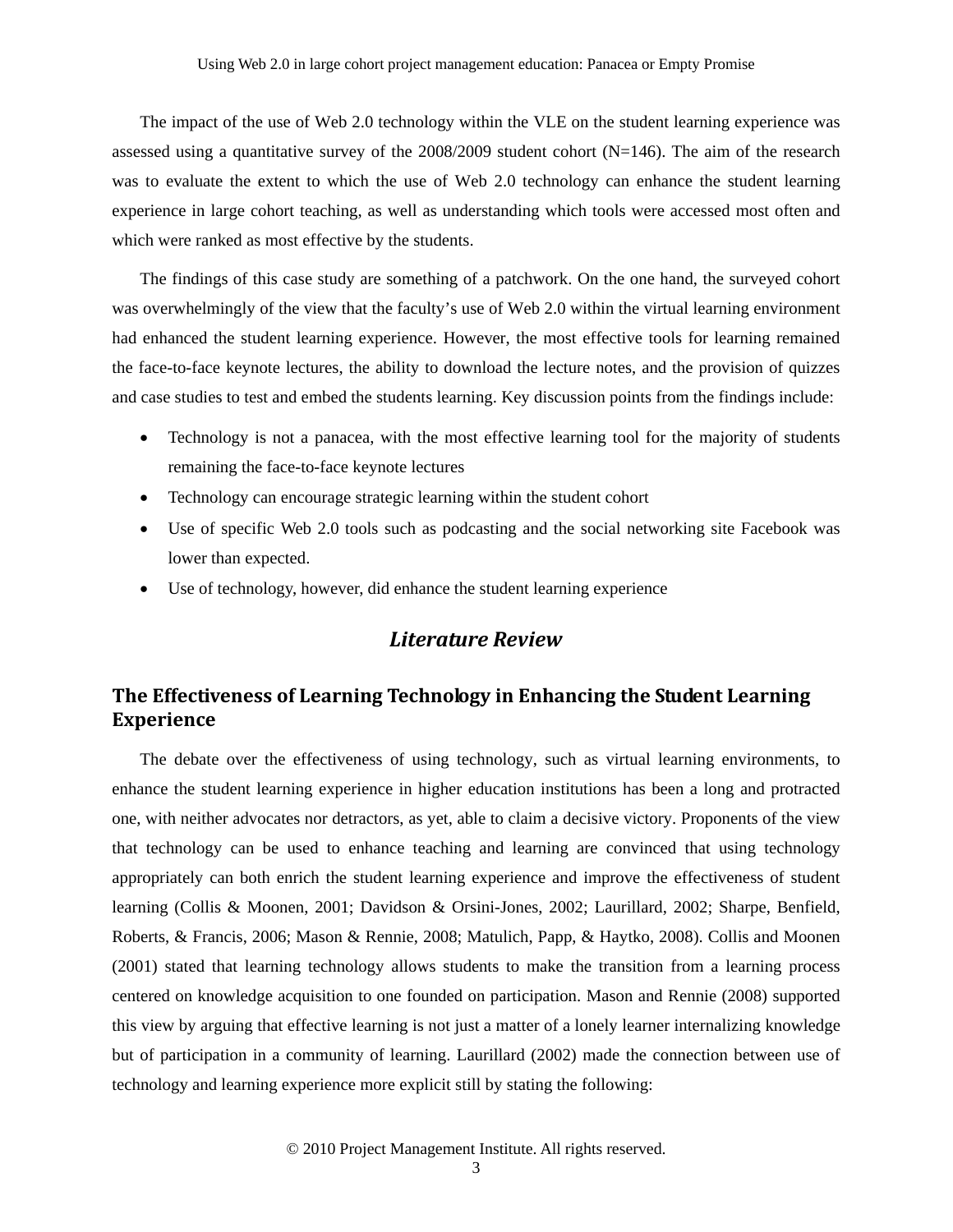The impact of the use of Web 2.0 technology within the VLE on the student learning experience was assessed using a quantitative survey of the  $2008/2009$  student cohort (N=146). The aim of the research was to evaluate the extent to which the use of Web 2.0 technology can enhance the student learning experience in large cohort teaching, as well as understanding which tools were accessed most often and which were ranked as most effective by the students.

The findings of this case study are something of a patchwork. On the one hand, the surveyed cohort was overwhelmingly of the view that the faculty's use of Web 2.0 within the virtual learning environment had enhanced the student learning experience. However, the most effective tools for learning remained the face-to-face keynote lectures, the ability to download the lecture notes, and the provision of quizzes and case studies to test and embed the students learning. Key discussion points from the findings include:

- Technology is not a panacea, with the most effective learning tool for the majority of students remaining the face-to-face keynote lectures
- Technology can encourage strategic learning within the student cohort
- Use of specific Web 2.0 tools such as podcasting and the social networking site Facebook was lower than expected.
- Use of technology, however, did enhance the student learning experience

### *Literature Review*

## **The Effectiveness of Learning Technology in Enhancing the Student Learning Experience**

The debate over the effectiveness of using technology, such as virtual learning environments, to enhance the student learning experience in higher education institutions has been a long and protracted one, with neither advocates nor detractors, as yet, able to claim a decisive victory. Proponents of the view that technology can be used to enhance teaching and learning are convinced that using technology appropriately can both enrich the student learning experience and improve the effectiveness of student learning (Collis & Moonen, 2001; Davidson & Orsini-Jones, 2002; Laurillard, 2002; Sharpe, Benfield, Roberts, & Francis, 2006; Mason & Rennie, 2008; Matulich, Papp, & Haytko, 2008). Collis and Moonen (2001) stated that learning technology allows students to make the transition from a learning process centered on knowledge acquisition to one founded on participation. Mason and Rennie (2008) supported this view by arguing that effective learning is not just a matter of a lonely learner internalizing knowledge but of participation in a community of learning. Laurillard (2002) made the connection between use of technology and learning experience more explicit still by stating the following: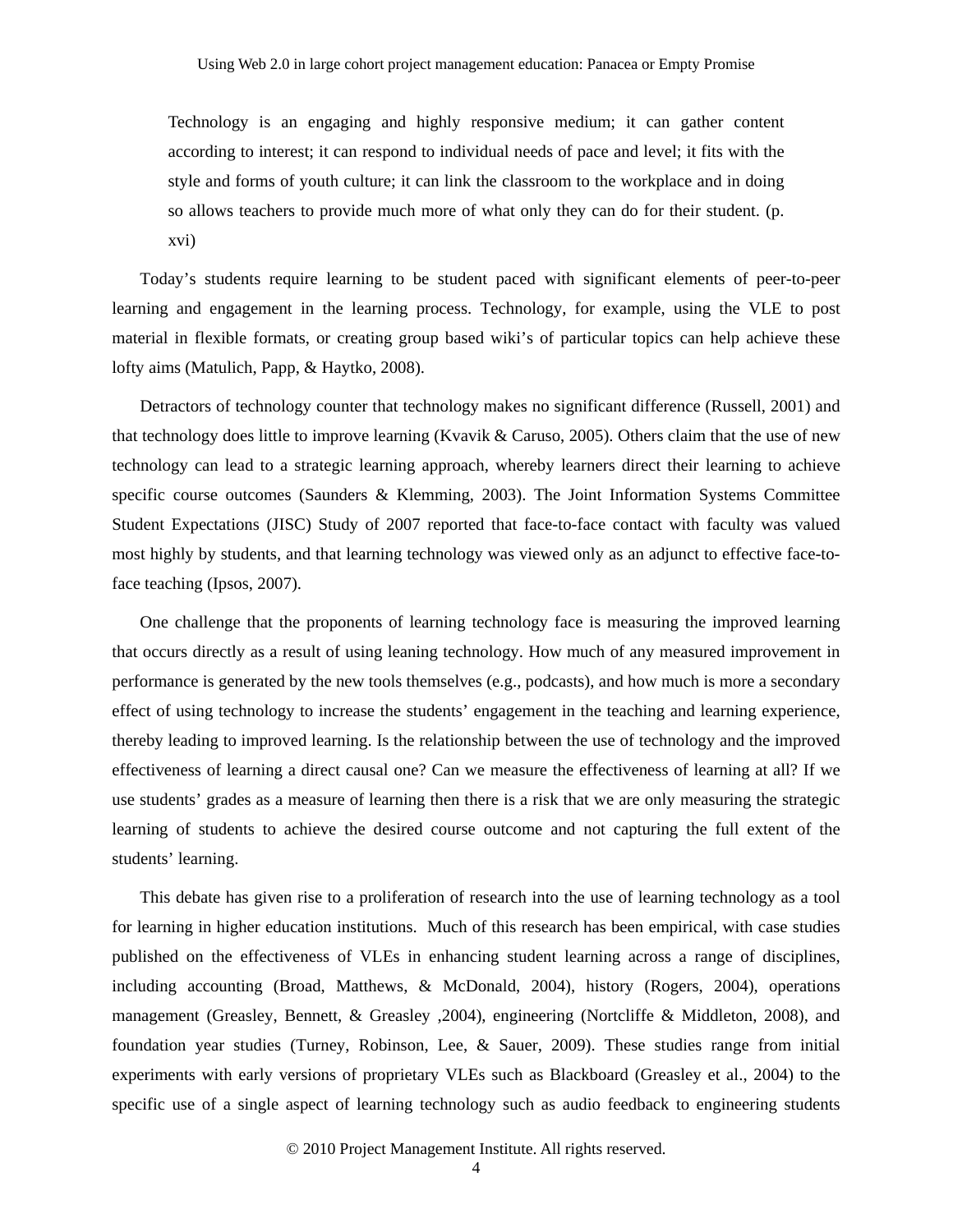Technology is an engaging and highly responsive medium; it can gather content according to interest; it can respond to individual needs of pace and level; it fits with the style and forms of youth culture; it can link the classroom to the workplace and in doing so allows teachers to provide much more of what only they can do for their student. (p. xvi)

Today's students require learning to be student paced with significant elements of peer-to-peer learning and engagement in the learning process. Technology, for example, using the VLE to post material in flexible formats, or creating group based wiki's of particular topics can help achieve these lofty aims (Matulich, Papp, & Haytko, 2008).

Detractors of technology counter that technology makes no significant difference (Russell, 2001) and that technology does little to improve learning (Kvavik & Caruso, 2005). Others claim that the use of new technology can lead to a strategic learning approach, whereby learners direct their learning to achieve specific course outcomes (Saunders & Klemming, 2003). The Joint Information Systems Committee Student Expectations (JISC) Study of 2007 reported that face-to-face contact with faculty was valued most highly by students, and that learning technology was viewed only as an adjunct to effective face-toface teaching (Ipsos, 2007).

One challenge that the proponents of learning technology face is measuring the improved learning that occurs directly as a result of using leaning technology. How much of any measured improvement in performance is generated by the new tools themselves (e.g., podcasts), and how much is more a secondary effect of using technology to increase the students' engagement in the teaching and learning experience, thereby leading to improved learning. Is the relationship between the use of technology and the improved effectiveness of learning a direct causal one? Can we measure the effectiveness of learning at all? If we use students' grades as a measure of learning then there is a risk that we are only measuring the strategic learning of students to achieve the desired course outcome and not capturing the full extent of the students' learning.

This debate has given rise to a proliferation of research into the use of learning technology as a tool for learning in higher education institutions. Much of this research has been empirical, with case studies published on the effectiveness of VLEs in enhancing student learning across a range of disciplines, including accounting (Broad, Matthews, & McDonald, 2004), history (Rogers, 2004), operations management (Greasley, Bennett, & Greasley ,2004), engineering (Nortcliffe & Middleton, 2008), and foundation year studies (Turney, Robinson, Lee, & Sauer, 2009). These studies range from initial experiments with early versions of proprietary VLEs such as Blackboard (Greasley et al., 2004) to the specific use of a single aspect of learning technology such as audio feedback to engineering students

© 2010 Project Management Institute. All rights reserved.

4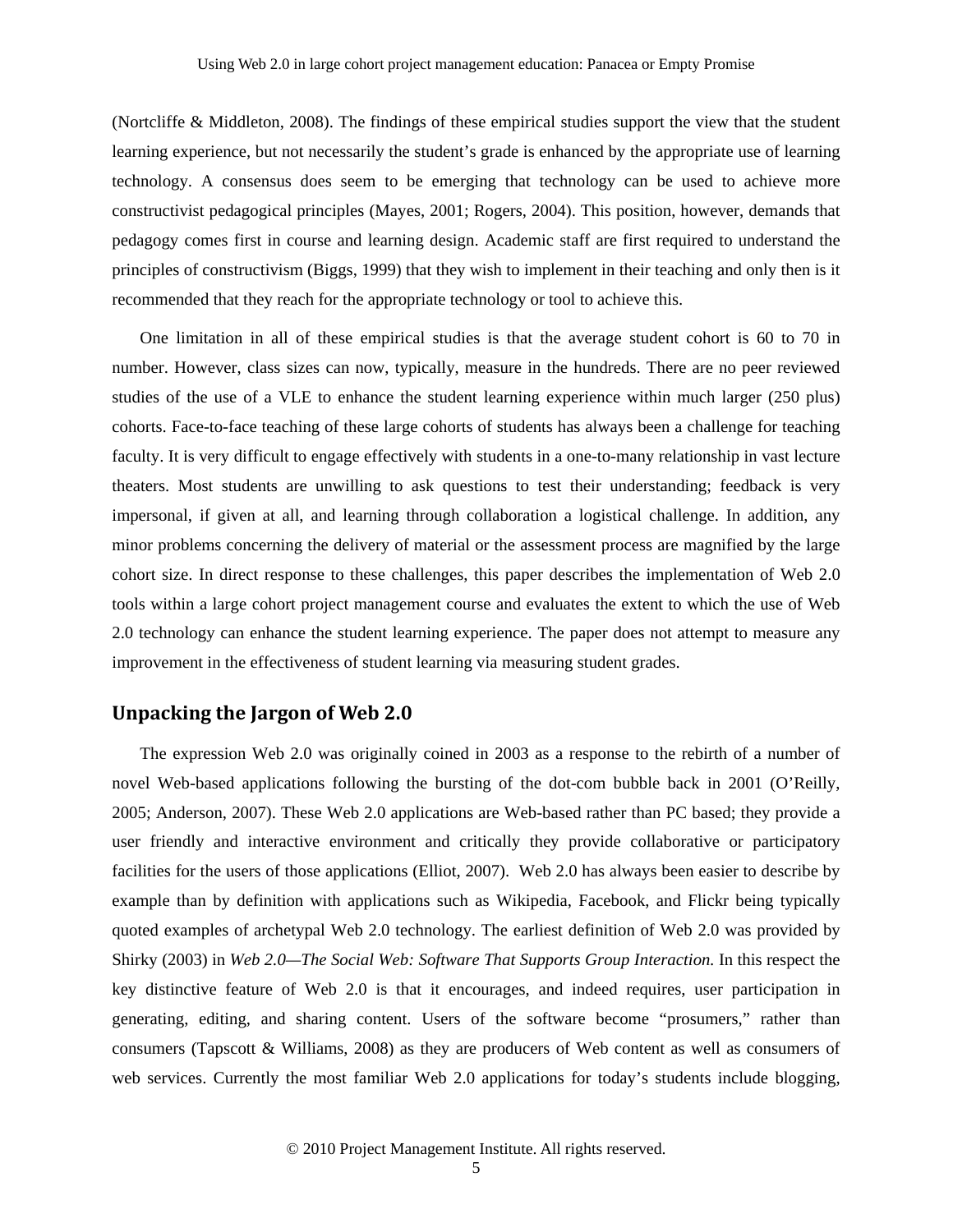(Nortcliffe & Middleton, 2008). The findings of these empirical studies support the view that the student learning experience, but not necessarily the student's grade is enhanced by the appropriate use of learning technology. A consensus does seem to be emerging that technology can be used to achieve more constructivist pedagogical principles (Mayes, 2001; Rogers, 2004). This position, however, demands that pedagogy comes first in course and learning design. Academic staff are first required to understand the principles of constructivism (Biggs, 1999) that they wish to implement in their teaching and only then is it recommended that they reach for the appropriate technology or tool to achieve this.

One limitation in all of these empirical studies is that the average student cohort is 60 to 70 in number. However, class sizes can now, typically, measure in the hundreds. There are no peer reviewed studies of the use of a VLE to enhance the student learning experience within much larger (250 plus) cohorts. Face-to-face teaching of these large cohorts of students has always been a challenge for teaching faculty. It is very difficult to engage effectively with students in a one-to-many relationship in vast lecture theaters. Most students are unwilling to ask questions to test their understanding; feedback is very impersonal, if given at all, and learning through collaboration a logistical challenge. In addition, any minor problems concerning the delivery of material or the assessment process are magnified by the large cohort size. In direct response to these challenges, this paper describes the implementation of Web 2.0 tools within a large cohort project management course and evaluates the extent to which the use of Web 2.0 technology can enhance the student learning experience. The paper does not attempt to measure any improvement in the effectiveness of student learning via measuring student grades.

### **Unpacking the Jargon of Web 2.0**

The expression Web 2.0 was originally coined in 2003 as a response to the rebirth of a number of novel Web-based applications following the bursting of the dot-com bubble back in 2001 (O'Reilly, 2005; Anderson, 2007). These Web 2.0 applications are Web-based rather than PC based; they provide a user friendly and interactive environment and critically they provide collaborative or participatory facilities for the users of those applications (Elliot, 2007). Web 2.0 has always been easier to describe by example than by definition with applications such as Wikipedia, Facebook, and Flickr being typically quoted examples of archetypal Web 2.0 technology. The earliest definition of Web 2.0 was provided by Shirky (2003) in *Web 2.0—The Social Web: Software That Supports Group Interaction.* In this respect the key distinctive feature of Web 2.0 is that it encourages, and indeed requires, user participation in generating, editing, and sharing content. Users of the software become "prosumers," rather than consumers (Tapscott & Williams, 2008) as they are producers of Web content as well as consumers of web services. Currently the most familiar Web 2.0 applications for today's students include blogging,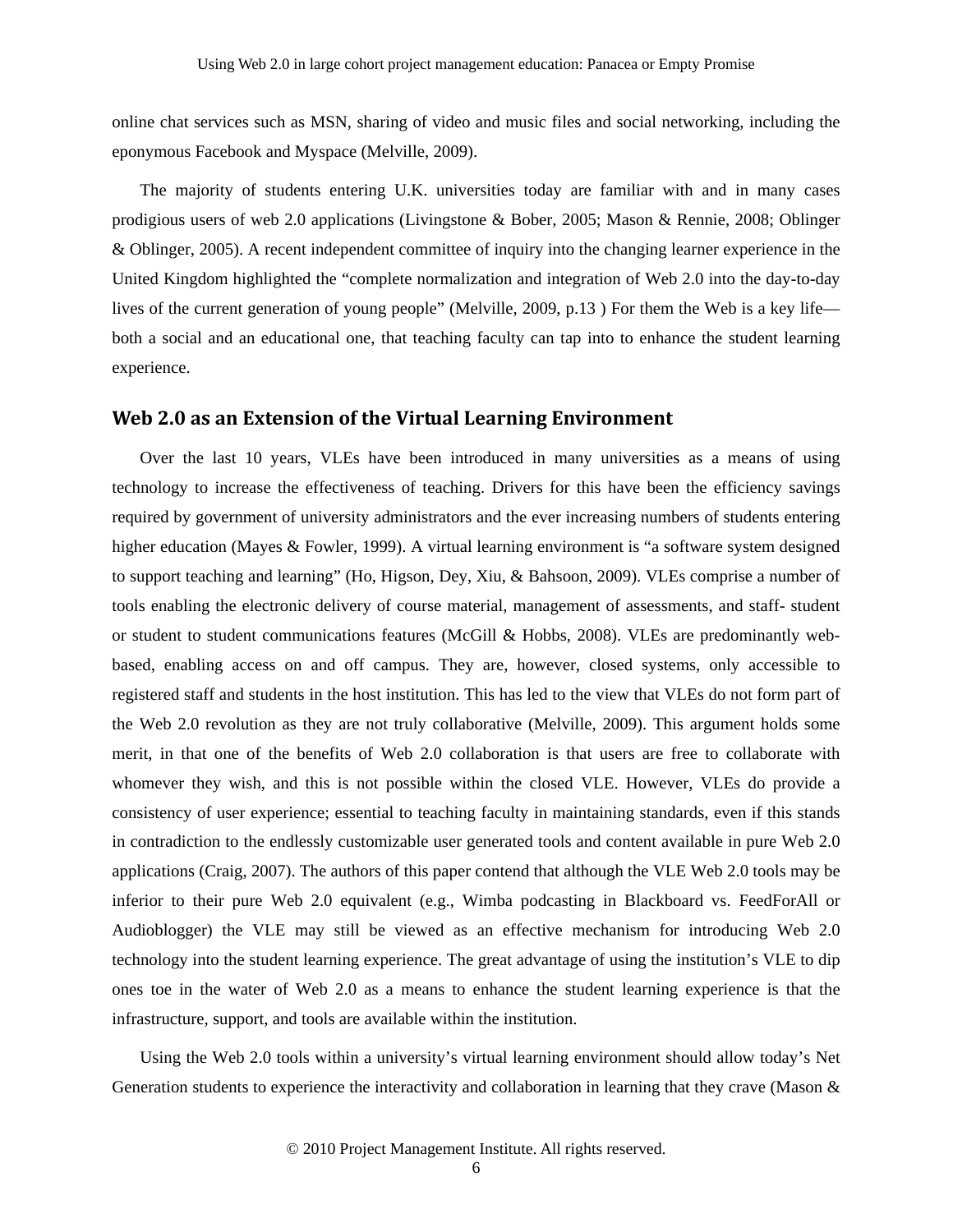online chat services such as MSN, sharing of video and music files and social networking, including the eponymous Facebook and Myspace (Melville, 2009).

The majority of students entering U.K. universities today are familiar with and in many cases prodigious users of web 2.0 applications (Livingstone & Bober, 2005; Mason & Rennie, 2008; Oblinger & Oblinger, 2005). A recent independent committee of inquiry into the changing learner experience in the United Kingdom highlighted the "complete normalization and integration of Web 2.0 into the day-to-day lives of the current generation of young people" (Melville, 2009, p.13 ) For them the Web is a key life both a social and an educational one, that teaching faculty can tap into to enhance the student learning experience.

### **Web 2.0 as an Extension of the Virtual Learning Environment**

Over the last 10 years, VLEs have been introduced in many universities as a means of using technology to increase the effectiveness of teaching. Drivers for this have been the efficiency savings required by government of university administrators and the ever increasing numbers of students entering higher education (Mayes & Fowler, 1999). A virtual learning environment is "a software system designed to support teaching and learning" (Ho, Higson, Dey, Xiu, & Bahsoon, 2009). VLEs comprise a number of tools enabling the electronic delivery of course material, management of assessments, and staff- student or student to student communications features (McGill & Hobbs, 2008). VLEs are predominantly webbased, enabling access on and off campus. They are, however, closed systems, only accessible to registered staff and students in the host institution. This has led to the view that VLEs do not form part of the Web 2.0 revolution as they are not truly collaborative (Melville, 2009). This argument holds some merit, in that one of the benefits of Web 2.0 collaboration is that users are free to collaborate with whomever they wish, and this is not possible within the closed VLE. However, VLEs do provide a consistency of user experience; essential to teaching faculty in maintaining standards, even if this stands in contradiction to the endlessly customizable user generated tools and content available in pure Web 2.0 applications (Craig, 2007). The authors of this paper contend that although the VLE Web 2.0 tools may be inferior to their pure Web 2.0 equivalent (e.g., Wimba podcasting in Blackboard vs. FeedForAll or Audioblogger) the VLE may still be viewed as an effective mechanism for introducing Web 2.0 technology into the student learning experience. The great advantage of using the institution's VLE to dip ones toe in the water of Web 2.0 as a means to enhance the student learning experience is that the infrastructure, support, and tools are available within the institution.

Using the Web 2.0 tools within a university's virtual learning environment should allow today's Net Generation students to experience the interactivity and collaboration in learning that they crave (Mason &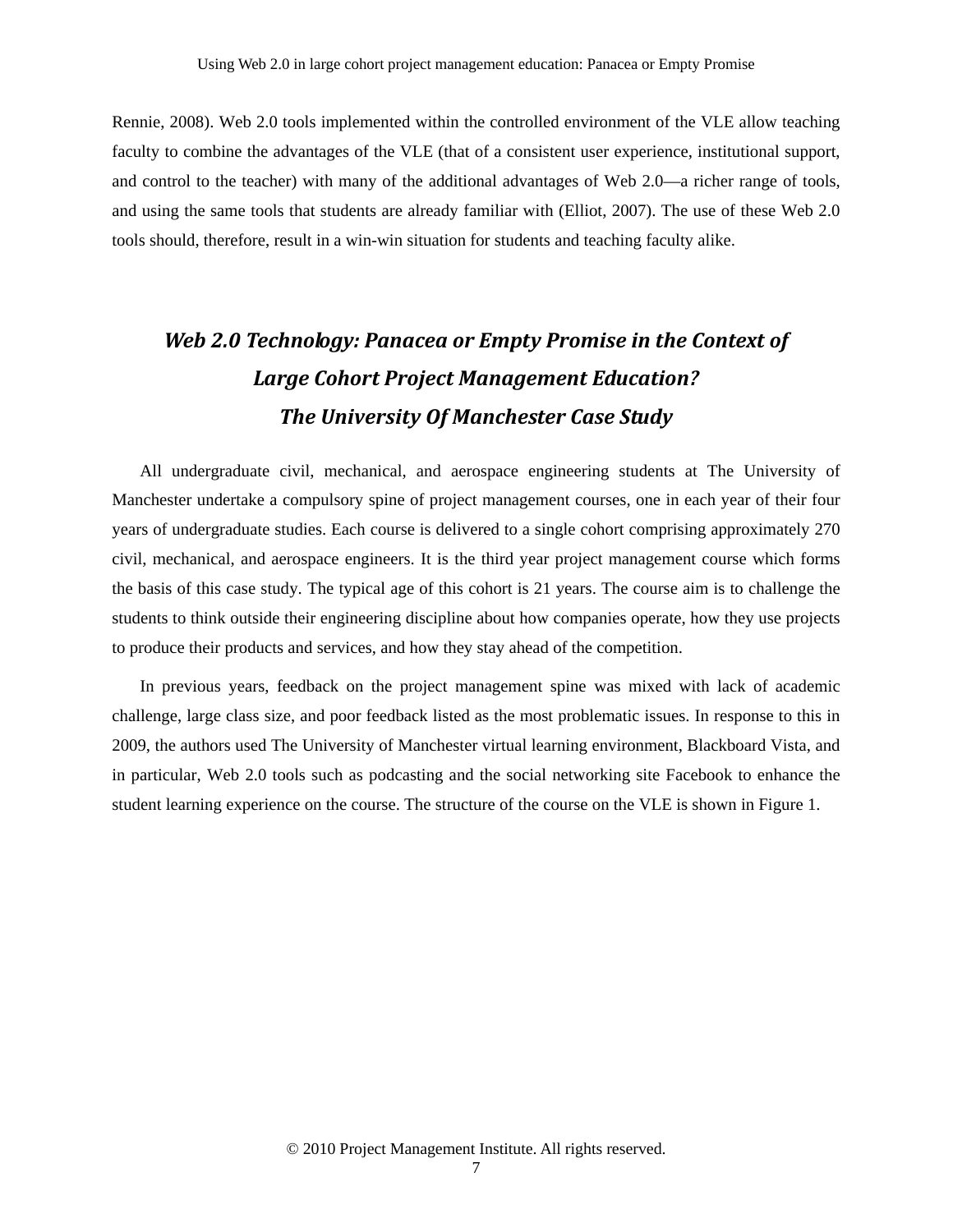Rennie, 2008). Web 2.0 tools implemented within the controlled environment of the VLE allow teaching faculty to combine the advantages of the VLE (that of a consistent user experience, institutional support, and control to the teacher) with many of the additional advantages of Web 2.0—a richer range of tools, and using the same tools that students are already familiar with (Elliot, 2007). The use of these Web 2.0 tools should, therefore, result in a win-win situation for students and teaching faculty alike.

# *Web 2.0 Technology: Panacea or Empty Promise in the Context of Large Cohort Project Management Education? The University Of Manchester Case Study*

All undergraduate civil, mechanical, and aerospace engineering students at The University of Manchester undertake a compulsory spine of project management courses, one in each year of their four years of undergraduate studies. Each course is delivered to a single cohort comprising approximately 270 civil, mechanical, and aerospace engineers. It is the third year project management course which forms the basis of this case study. The typical age of this cohort is 21 years. The course aim is to challenge the students to think outside their engineering discipline about how companies operate, how they use projects to produce their products and services, and how they stay ahead of the competition.

In previous years, feedback on the project management spine was mixed with lack of academic challenge, large class size, and poor feedback listed as the most problematic issues. In response to this in 2009, the authors used The University of Manchester virtual learning environment, Blackboard Vista, and in particular, Web 2.0 tools such as podcasting and the social networking site Facebook to enhance the student learning experience on the course. The structure of the course on the VLE is shown in Figure 1.

© 2010 Project Management Institute. All rights reserved.

7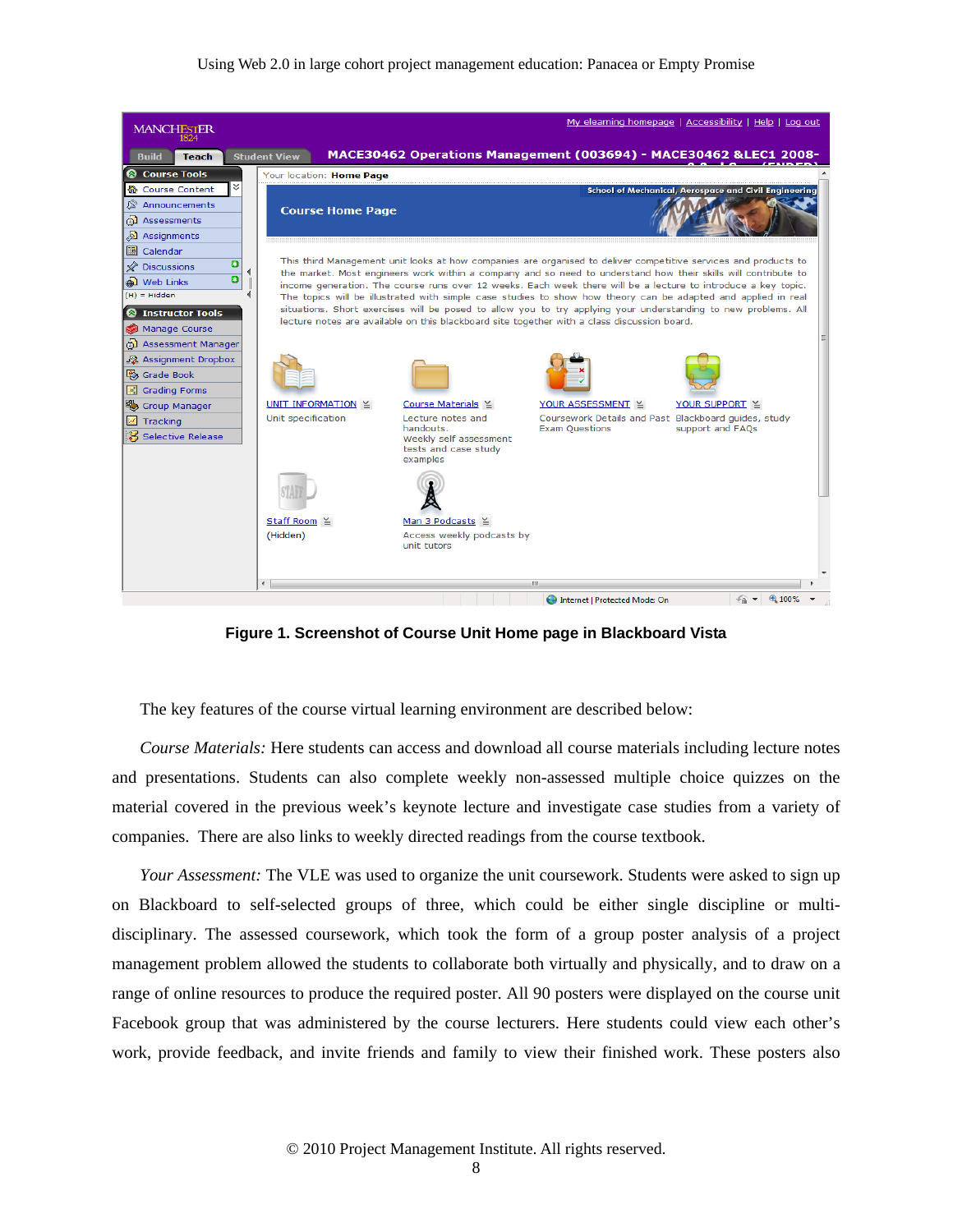#### Using Web 2.0 in large cohort project management education: Panacea or Empty Promise



**Figure 1. Screenshot of Course Unit Home page in Blackboard Vista** 

The key features of the course virtual learning environment are described below:

*Course Materials:* Here students can access and download all course materials including lecture notes and presentations. Students can also complete weekly non-assessed multiple choice quizzes on the material covered in the previous week's keynote lecture and investigate case studies from a variety of companies. There are also links to weekly directed readings from the course textbook.

*Your Assessment:* The VLE was used to organize the unit coursework. Students were asked to sign up on Blackboard to self-selected groups of three, which could be either single discipline or multidisciplinary. The assessed coursework, which took the form of a group poster analysis of a project management problem allowed the students to collaborate both virtually and physically, and to draw on a range of online resources to produce the required poster. All 90 posters were displayed on the course unit Facebook group that was administered by the course lecturers. Here students could view each other's work, provide feedback, and invite friends and family to view their finished work. These posters also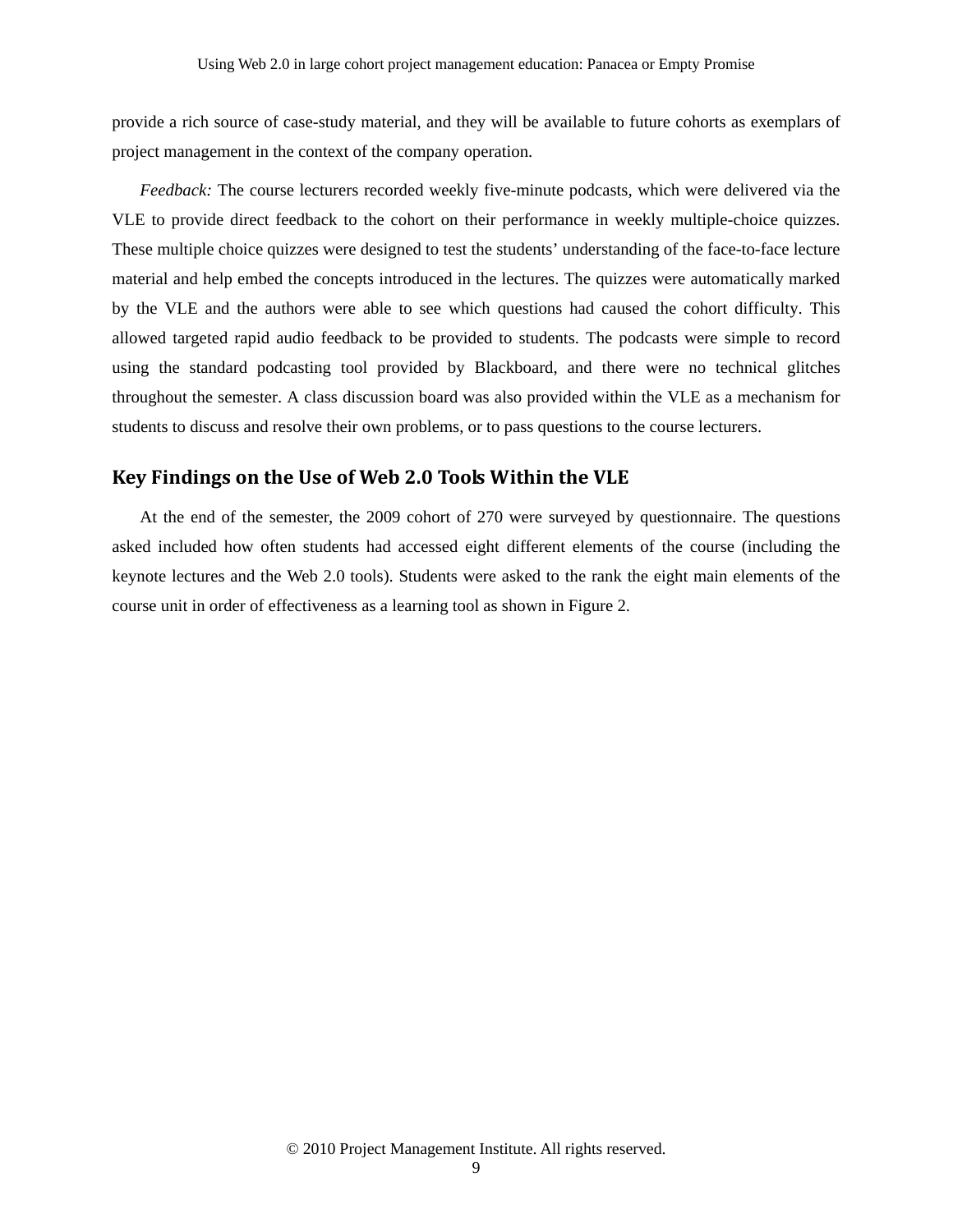provide a rich source of case-study material, and they will be available to future cohorts as exemplars of project management in the context of the company operation.

*Feedback:* The course lecturers recorded weekly five-minute podcasts, which were delivered via the VLE to provide direct feedback to the cohort on their performance in weekly multiple-choice quizzes. These multiple choice quizzes were designed to test the students' understanding of the face-to-face lecture material and help embed the concepts introduced in the lectures. The quizzes were automatically marked by the VLE and the authors were able to see which questions had caused the cohort difficulty. This allowed targeted rapid audio feedback to be provided to students. The podcasts were simple to record using the standard podcasting tool provided by Blackboard, and there were no technical glitches throughout the semester. A class discussion board was also provided within the VLE as a mechanism for students to discuss and resolve their own problems, or to pass questions to the course lecturers.

### **Key Findings on the Use of Web 2.0 Tools Within the VLE**

At the end of the semester, the 2009 cohort of 270 were surveyed by questionnaire. The questions asked included how often students had accessed eight different elements of the course (including the keynote lectures and the Web 2.0 tools). Students were asked to the rank the eight main elements of the course unit in order of effectiveness as a learning tool as shown in Figure 2.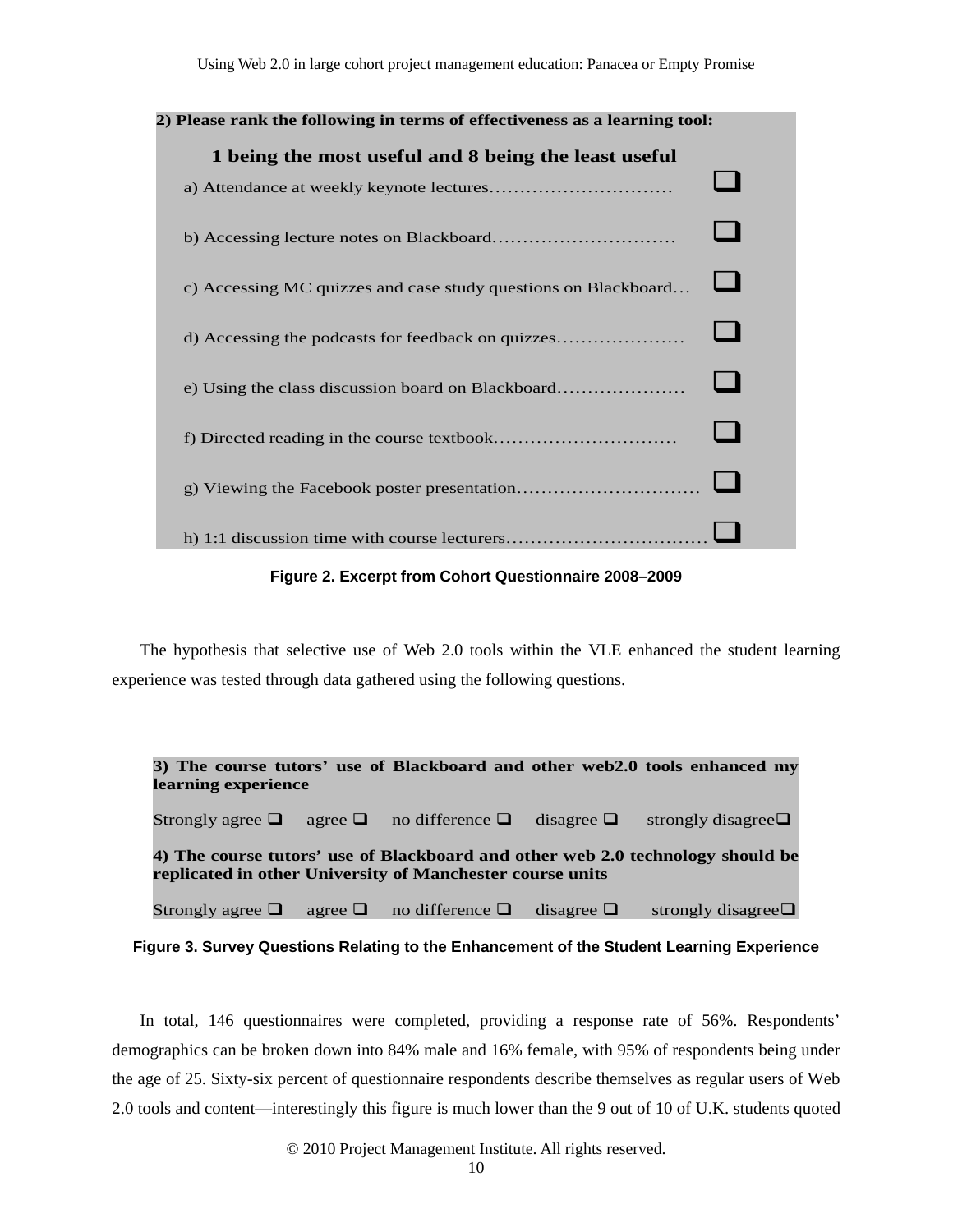| 2) Please rank the following in terms of effectiveness as a learning tool: |  |  |  |
|----------------------------------------------------------------------------|--|--|--|
| 1 being the most useful and 8 being the least useful                       |  |  |  |
|                                                                            |  |  |  |
| c) Accessing MC quizzes and case study questions on Blackboard             |  |  |  |
| d) Accessing the podcasts for feedback on quizzes                          |  |  |  |
| e) Using the class discussion board on Blackboard                          |  |  |  |
|                                                                            |  |  |  |
|                                                                            |  |  |  |
|                                                                            |  |  |  |

**Figure 2. Excerpt from Cohort Questionnaire 2008–2009** 

The hypothesis that selective use of Web 2.0 tools within the VLE enhanced the student learning experience was tested through data gathered using the following questions.

| learning experience                                                                                                                         |  |                                                   |  | 3) The course tutors' use of Blackboard and other web2.0 tools enhanced my |  |
|---------------------------------------------------------------------------------------------------------------------------------------------|--|---------------------------------------------------|--|----------------------------------------------------------------------------|--|
| Strongly agree $\Box$ agree $\Box$ no difference $\Box$ disagree $\Box$                                                                     |  |                                                   |  | strongly disagree $\Box$                                                   |  |
| 4) The course tutors' use of Blackboard and other web 2.0 technology should be<br>replicated in other University of Manchester course units |  |                                                   |  |                                                                            |  |
| Strongly agree $\Box$                                                                                                                       |  | agree $\Box$ no difference $\Box$ disagree $\Box$ |  | strongly disagree $\Box$                                                   |  |

**Figure 3. Survey Questions Relating to the Enhancement of the Student Learning Experience** 

In total, 146 questionnaires were completed, providing a response rate of 56%. Respondents' demographics can be broken down into 84% male and 16% female, with 95% of respondents being under the age of 25. Sixty-six percent of questionnaire respondents describe themselves as regular users of Web 2.0 tools and content—interestingly this figure is much lower than the 9 out of 10 of U.K. students quoted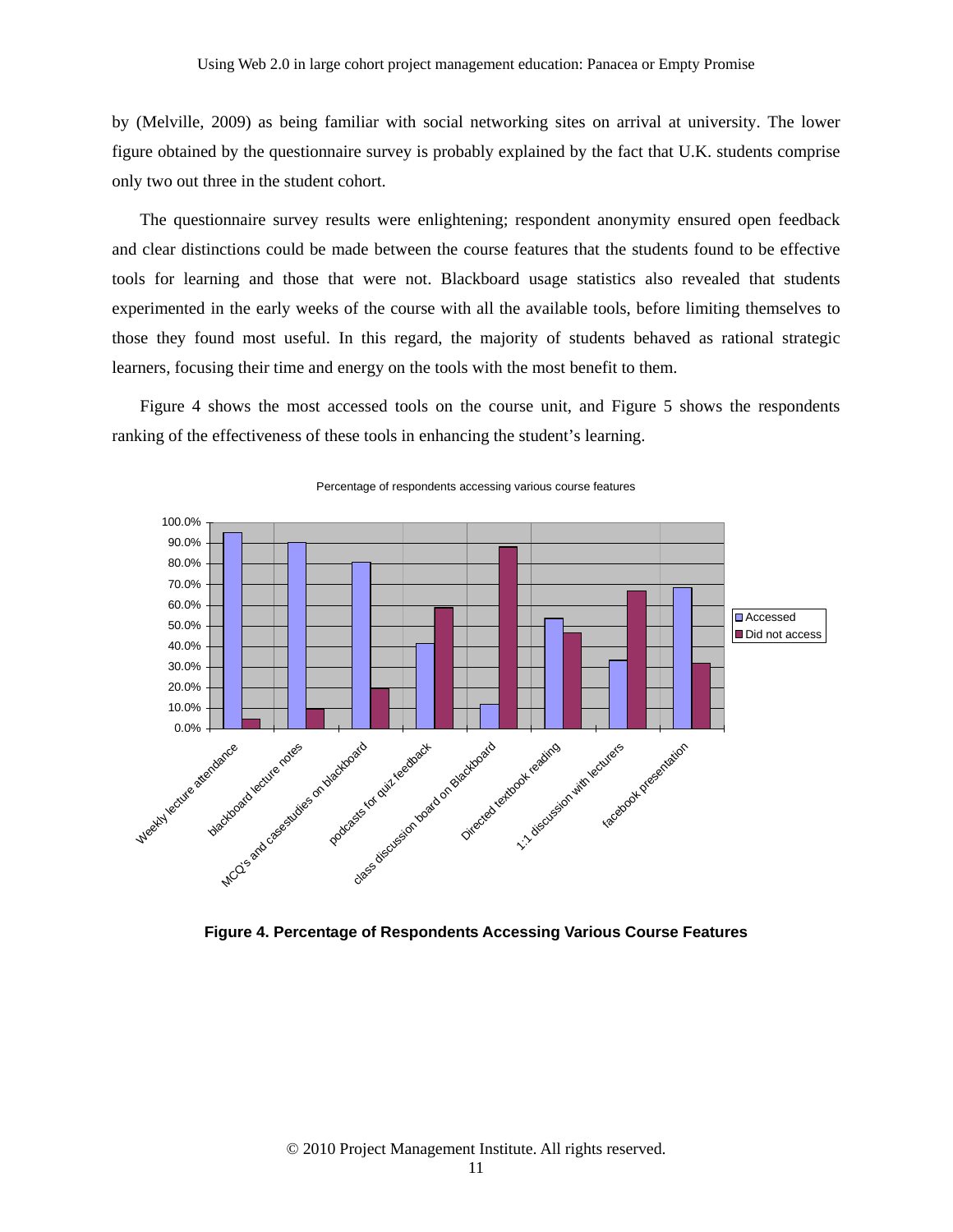by (Melville, 2009) as being familiar with social networking sites on arrival at university. The lower figure obtained by the questionnaire survey is probably explained by the fact that U.K. students comprise only two out three in the student cohort.

The questionnaire survey results were enlightening; respondent anonymity ensured open feedback and clear distinctions could be made between the course features that the students found to be effective tools for learning and those that were not. Blackboard usage statistics also revealed that students experimented in the early weeks of the course with all the available tools, before limiting themselves to those they found most useful. In this regard, the majority of students behaved as rational strategic learners, focusing their time and energy on the tools with the most benefit to them.

Figure 4 shows the most accessed tools on the course unit, and Figure 5 shows the respondents ranking of the effectiveness of these tools in enhancing the student's learning.



Percentage of respondents accessing various course features

**Figure 4. Percentage of Respondents Accessing Various Course Features**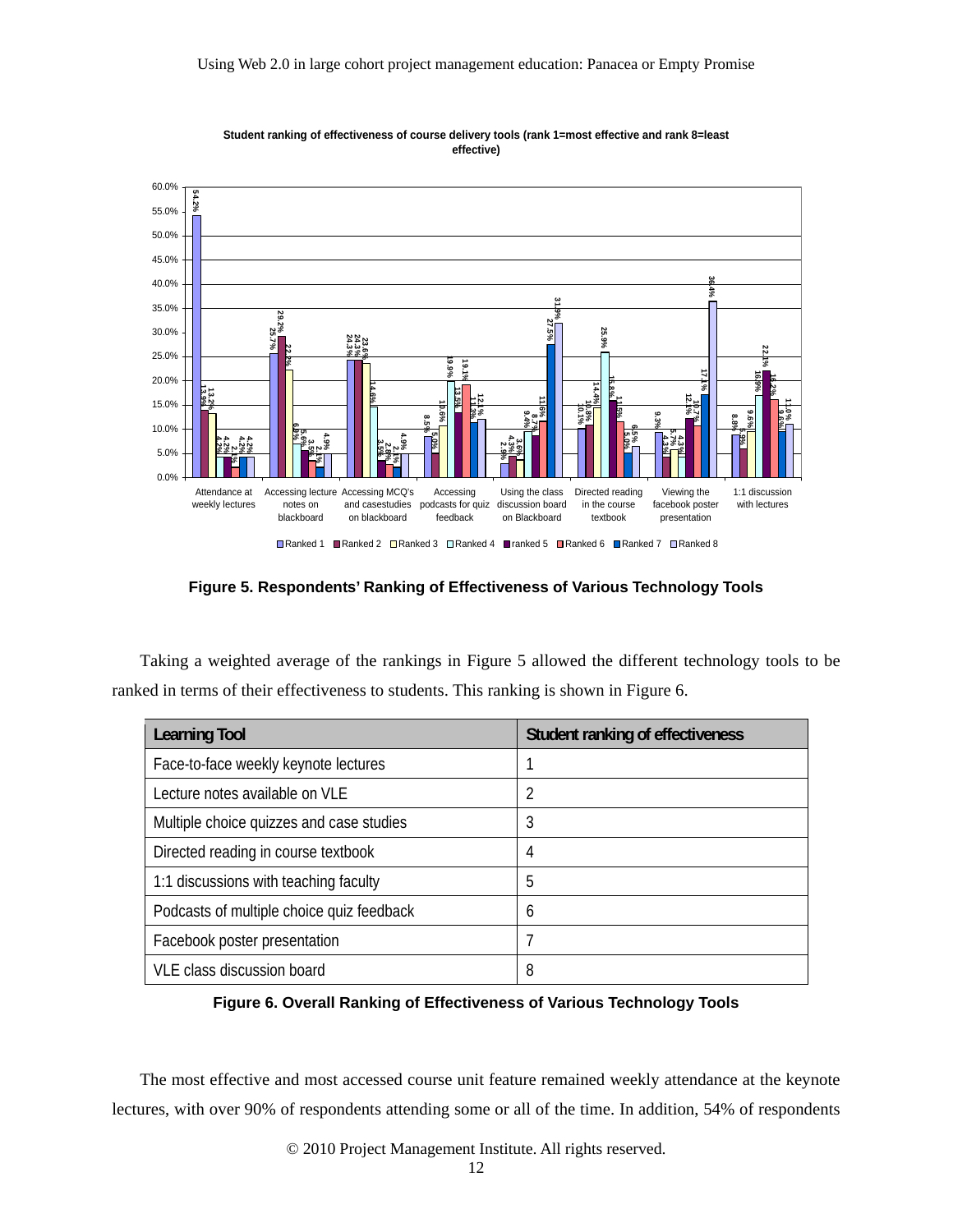

**Student ranking of effectiveness of course delivery tools (rank 1=most effective and rank 8=least effective)**

**Figure 5. Respondents' Ranking of Effectiveness of Various Technology Tools** 

Taking a weighted average of the rankings in Figure 5 allowed the different technology tools to be ranked in terms of their effectiveness to students. This ranking is shown in Figure 6.

| <b>Learning Tool</b>                      | Student ranking of effectiveness |
|-------------------------------------------|----------------------------------|
| Face-to-face weekly keynote lectures      |                                  |
| Lecture notes available on VLE            | 2                                |
| Multiple choice quizzes and case studies  | 3                                |
| Directed reading in course textbook       | 4                                |
| 1:1 discussions with teaching faculty     | 5                                |
| Podcasts of multiple choice quiz feedback | 6                                |
| Facebook poster presentation              | 7                                |
| VLE class discussion board                | 8                                |

**Figure 6. Overall Ranking of Effectiveness of Various Technology Tools** 

The most effective and most accessed course unit feature remained weekly attendance at the keynote lectures, with over 90% of respondents attending some or all of the time. In addition, 54% of respondents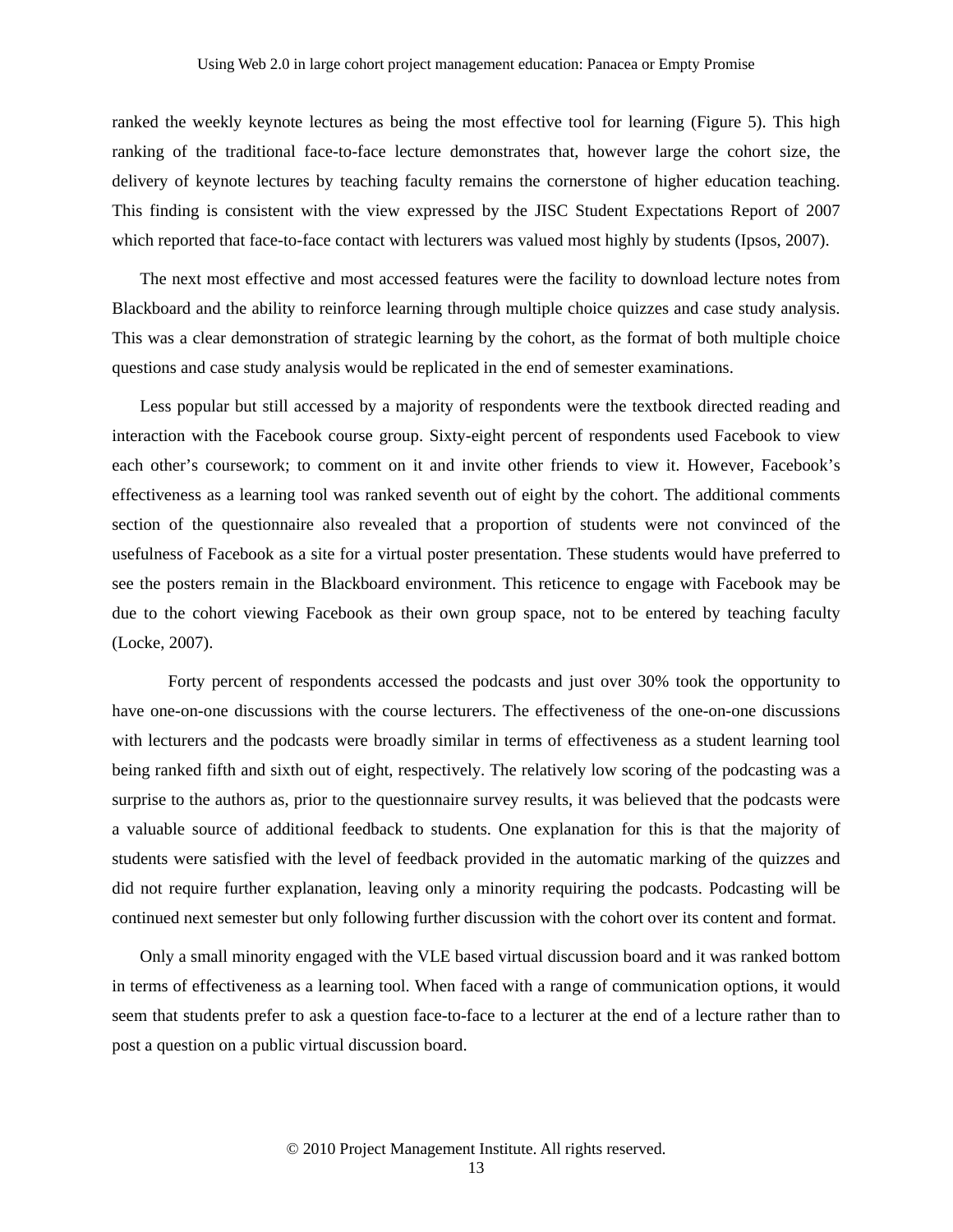ranked the weekly keynote lectures as being the most effective tool for learning (Figure 5). This high ranking of the traditional face-to-face lecture demonstrates that, however large the cohort size, the delivery of keynote lectures by teaching faculty remains the cornerstone of higher education teaching. This finding is consistent with the view expressed by the JISC Student Expectations Report of 2007 which reported that face-to-face contact with lecturers was valued most highly by students (Ipsos, 2007).

The next most effective and most accessed features were the facility to download lecture notes from Blackboard and the ability to reinforce learning through multiple choice quizzes and case study analysis. This was a clear demonstration of strategic learning by the cohort, as the format of both multiple choice questions and case study analysis would be replicated in the end of semester examinations.

Less popular but still accessed by a majority of respondents were the textbook directed reading and interaction with the Facebook course group. Sixty-eight percent of respondents used Facebook to view each other's coursework; to comment on it and invite other friends to view it. However, Facebook's effectiveness as a learning tool was ranked seventh out of eight by the cohort. The additional comments section of the questionnaire also revealed that a proportion of students were not convinced of the usefulness of Facebook as a site for a virtual poster presentation. These students would have preferred to see the posters remain in the Blackboard environment. This reticence to engage with Facebook may be due to the cohort viewing Facebook as their own group space, not to be entered by teaching faculty (Locke, 2007).

 Forty percent of respondents accessed the podcasts and just over 30% took the opportunity to have one-on-one discussions with the course lecturers. The effectiveness of the one-on-one discussions with lecturers and the podcasts were broadly similar in terms of effectiveness as a student learning tool being ranked fifth and sixth out of eight, respectively. The relatively low scoring of the podcasting was a surprise to the authors as, prior to the questionnaire survey results, it was believed that the podcasts were a valuable source of additional feedback to students. One explanation for this is that the majority of students were satisfied with the level of feedback provided in the automatic marking of the quizzes and did not require further explanation, leaving only a minority requiring the podcasts. Podcasting will be continued next semester but only following further discussion with the cohort over its content and format.

Only a small minority engaged with the VLE based virtual discussion board and it was ranked bottom in terms of effectiveness as a learning tool. When faced with a range of communication options, it would seem that students prefer to ask a question face-to-face to a lecturer at the end of a lecture rather than to post a question on a public virtual discussion board.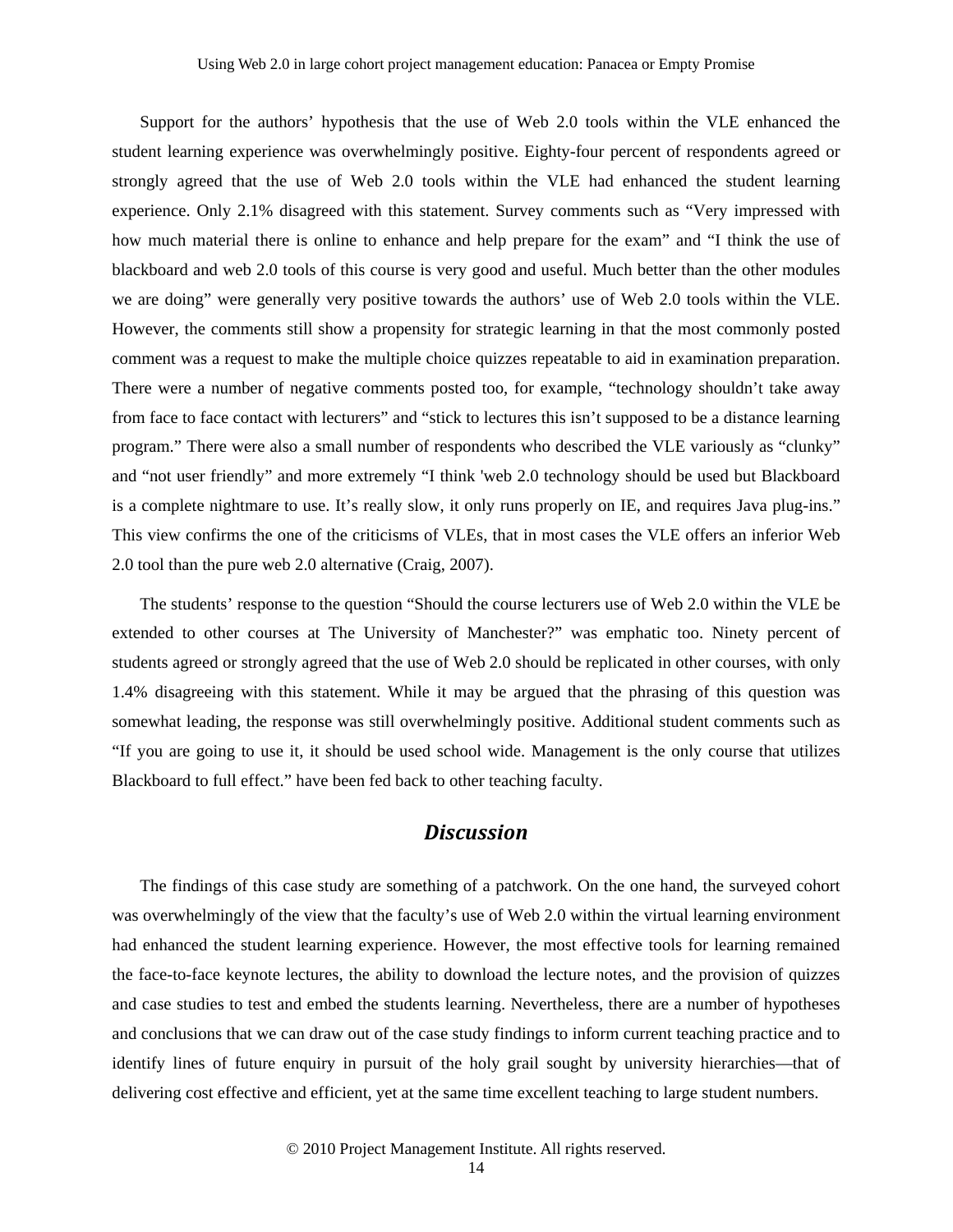Support for the authors' hypothesis that the use of Web 2.0 tools within the VLE enhanced the student learning experience was overwhelmingly positive. Eighty-four percent of respondents agreed or strongly agreed that the use of Web 2.0 tools within the VLE had enhanced the student learning experience. Only 2.1% disagreed with this statement. Survey comments such as "Very impressed with how much material there is online to enhance and help prepare for the exam" and "I think the use of blackboard and web 2.0 tools of this course is very good and useful. Much better than the other modules we are doing" were generally very positive towards the authors' use of Web 2.0 tools within the VLE. However, the comments still show a propensity for strategic learning in that the most commonly posted comment was a request to make the multiple choice quizzes repeatable to aid in examination preparation. There were a number of negative comments posted too, for example, "technology shouldn't take away from face to face contact with lecturers" and "stick to lectures this isn't supposed to be a distance learning program." There were also a small number of respondents who described the VLE variously as "clunky" and "not user friendly" and more extremely "I think 'web 2.0 technology should be used but Blackboard is a complete nightmare to use. It's really slow, it only runs properly on IE, and requires Java plug-ins." This view confirms the one of the criticisms of VLEs, that in most cases the VLE offers an inferior Web 2.0 tool than the pure web 2.0 alternative (Craig, 2007).

The students' response to the question "Should the course lecturers use of Web 2.0 within the VLE be extended to other courses at The University of Manchester?" was emphatic too. Ninety percent of students agreed or strongly agreed that the use of Web 2.0 should be replicated in other courses, with only 1.4% disagreeing with this statement. While it may be argued that the phrasing of this question was somewhat leading, the response was still overwhelmingly positive. Additional student comments such as "If you are going to use it, it should be used school wide. Management is the only course that utilizes Blackboard to full effect." have been fed back to other teaching faculty.

## *Discussion*

The findings of this case study are something of a patchwork. On the one hand, the surveyed cohort was overwhelmingly of the view that the faculty's use of Web 2.0 within the virtual learning environment had enhanced the student learning experience. However, the most effective tools for learning remained the face-to-face keynote lectures, the ability to download the lecture notes, and the provision of quizzes and case studies to test and embed the students learning. Nevertheless, there are a number of hypotheses and conclusions that we can draw out of the case study findings to inform current teaching practice and to identify lines of future enquiry in pursuit of the holy grail sought by university hierarchies—that of delivering cost effective and efficient, yet at the same time excellent teaching to large student numbers.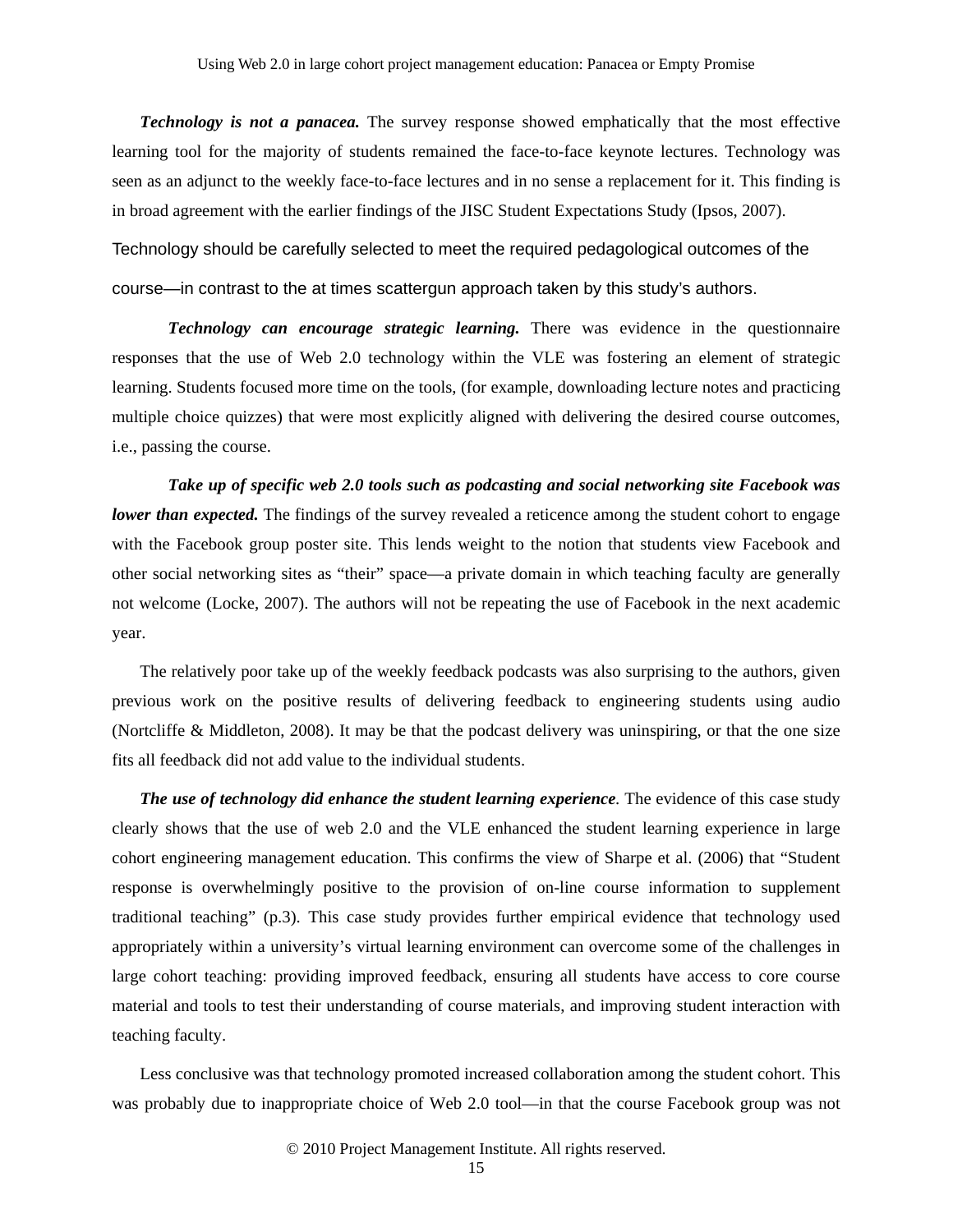*Technology is not a panacea.* The survey response showed emphatically that the most effective learning tool for the majority of students remained the face-to-face keynote lectures. Technology was seen as an adjunct to the weekly face-to-face lectures and in no sense a replacement for it. This finding is in broad agreement with the earlier findings of the JISC Student Expectations Study (Ipsos, 2007).

Technology should be carefully selected to meet the required pedagological outcomes of the course—in contrast to the at times scattergun approach taken by this study's authors.

*Technology can encourage strategic learning.* There was evidence in the questionnaire responses that the use of Web 2.0 technology within the VLE was fostering an element of strategic learning. Students focused more time on the tools, (for example, downloading lecture notes and practicing multiple choice quizzes) that were most explicitly aligned with delivering the desired course outcomes, i.e., passing the course.

*Take up of specific web 2.0 tools such as podcasting and social networking site Facebook was lower than expected.* The findings of the survey revealed a reticence among the student cohort to engage with the Facebook group poster site. This lends weight to the notion that students view Facebook and other social networking sites as "their" space—a private domain in which teaching faculty are generally not welcome (Locke, 2007). The authors will not be repeating the use of Facebook in the next academic year.

The relatively poor take up of the weekly feedback podcasts was also surprising to the authors, given previous work on the positive results of delivering feedback to engineering students using audio (Nortcliffe & Middleton, 2008). It may be that the podcast delivery was uninspiring, or that the one size fits all feedback did not add value to the individual students.

*The use of technology did enhance the student learning experience.* The evidence of this case study clearly shows that the use of web 2.0 and the VLE enhanced the student learning experience in large cohort engineering management education. This confirms the view of Sharpe et al. (2006) that "Student response is overwhelmingly positive to the provision of on-line course information to supplement traditional teaching" (p.3). This case study provides further empirical evidence that technology used appropriately within a university's virtual learning environment can overcome some of the challenges in large cohort teaching: providing improved feedback, ensuring all students have access to core course material and tools to test their understanding of course materials, and improving student interaction with teaching faculty.

Less conclusive was that technology promoted increased collaboration among the student cohort. This was probably due to inappropriate choice of Web 2.0 tool—in that the course Facebook group was not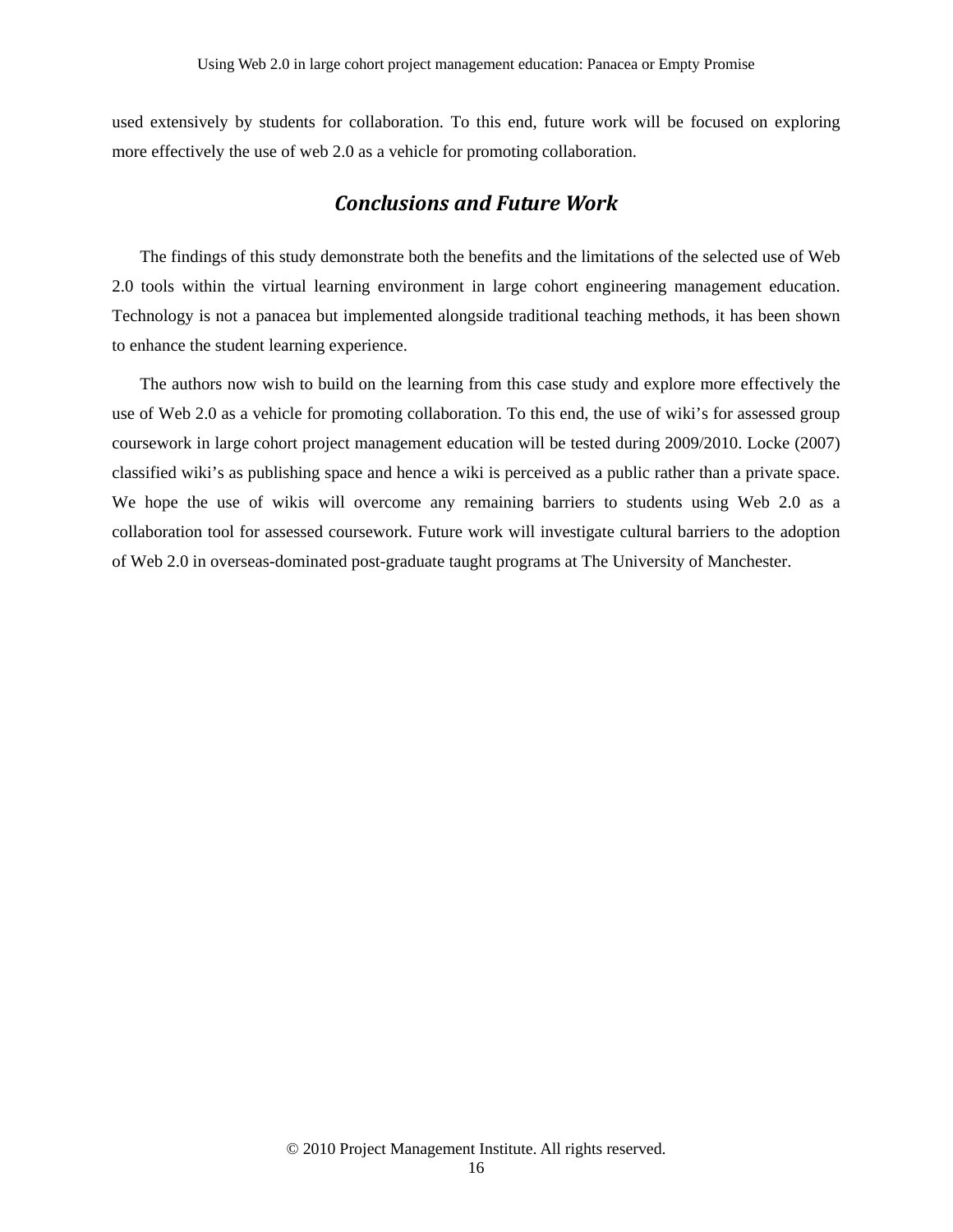used extensively by students for collaboration. To this end, future work will be focused on exploring more effectively the use of web 2.0 as a vehicle for promoting collaboration.

### *Conclusions and Future Work*

The findings of this study demonstrate both the benefits and the limitations of the selected use of Web 2.0 tools within the virtual learning environment in large cohort engineering management education. Technology is not a panacea but implemented alongside traditional teaching methods, it has been shown to enhance the student learning experience.

The authors now wish to build on the learning from this case study and explore more effectively the use of Web 2.0 as a vehicle for promoting collaboration. To this end, the use of wiki's for assessed group coursework in large cohort project management education will be tested during 2009/2010. Locke (2007) classified wiki's as publishing space and hence a wiki is perceived as a public rather than a private space. We hope the use of wikis will overcome any remaining barriers to students using Web 2.0 as a collaboration tool for assessed coursework. Future work will investigate cultural barriers to the adoption of Web 2.0 in overseas-dominated post-graduate taught programs at The University of Manchester.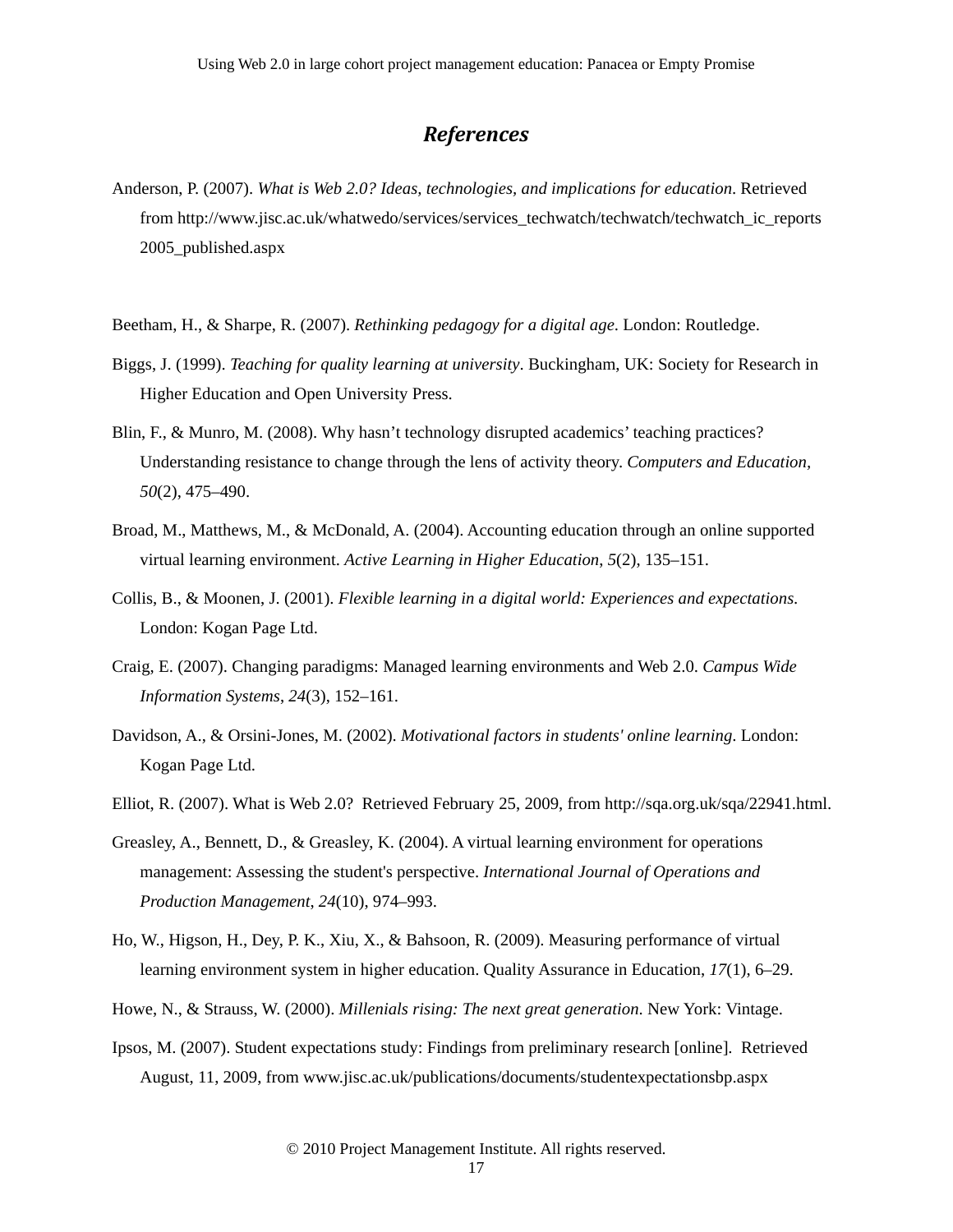## *References*

- Anderson, P. (2007). *What is Web 2.0? Ideas, technologies, and implications for education*. Retrieved from http://www.jisc.ac.uk/whatwedo/services/services\_techwatch/techwatch/techwatch\_ic\_reports 2005\_published.aspx
- Beetham, H., & Sharpe, R. (2007). *Rethinking pedagogy for a digital age*. London: Routledge.
- Biggs, J. (1999). *Teaching for quality learning at university*. Buckingham, UK: Society for Research in Higher Education and Open University Press.
- Blin, F., & Munro, M. (2008). Why hasn't technology disrupted academics' teaching practices? Understanding resistance to change through the lens of activity theory. *Computers and Education, 50*(2), 475–490.
- Broad, M., Matthews, M., & McDonald, A. (2004). Accounting education through an online supported virtual learning environment. *Active Learning in Higher Education*, *5*(2), 135–151.
- Collis, B., & Moonen, J. (2001). *Flexible learning in a digital world: Experiences and expectations*. London: Kogan Page Ltd.
- Craig, E. (2007). Changing paradigms: Managed learning environments and Web 2.0. *Campus Wide Information Systems*, *24*(3), 152–161.
- Davidson, A., & Orsini-Jones, M. (2002). *Motivational factors in students' online learning*. London: Kogan Page Ltd.
- Elliot, R. (2007). What is Web 2.0? Retrieved February 25, 2009, from http://sqa.org.uk/sqa/22941.html.
- Greasley, A., Bennett, D., & Greasley, K. (2004). A virtual learning environment for operations management: Assessing the student's perspective. *International Journal of Operations and Production Management*, *24*(10), 974–993.
- Ho, W., Higson, H., Dey, P. K., Xiu, X., & Bahsoon, R. (2009). Measuring performance of virtual learning environment system in higher education. Quality Assurance in Education, *17*(1), 6–29.
- Howe, N., & Strauss, W. (2000). *Millenials rising: The next great generation*. New York: Vintage.
- Ipsos, M. (2007). Student expectations study: Findings from preliminary research [online]. Retrieved August, 11, 2009, from www.jisc.ac.uk/publications/documents/studentexpectationsbp.aspx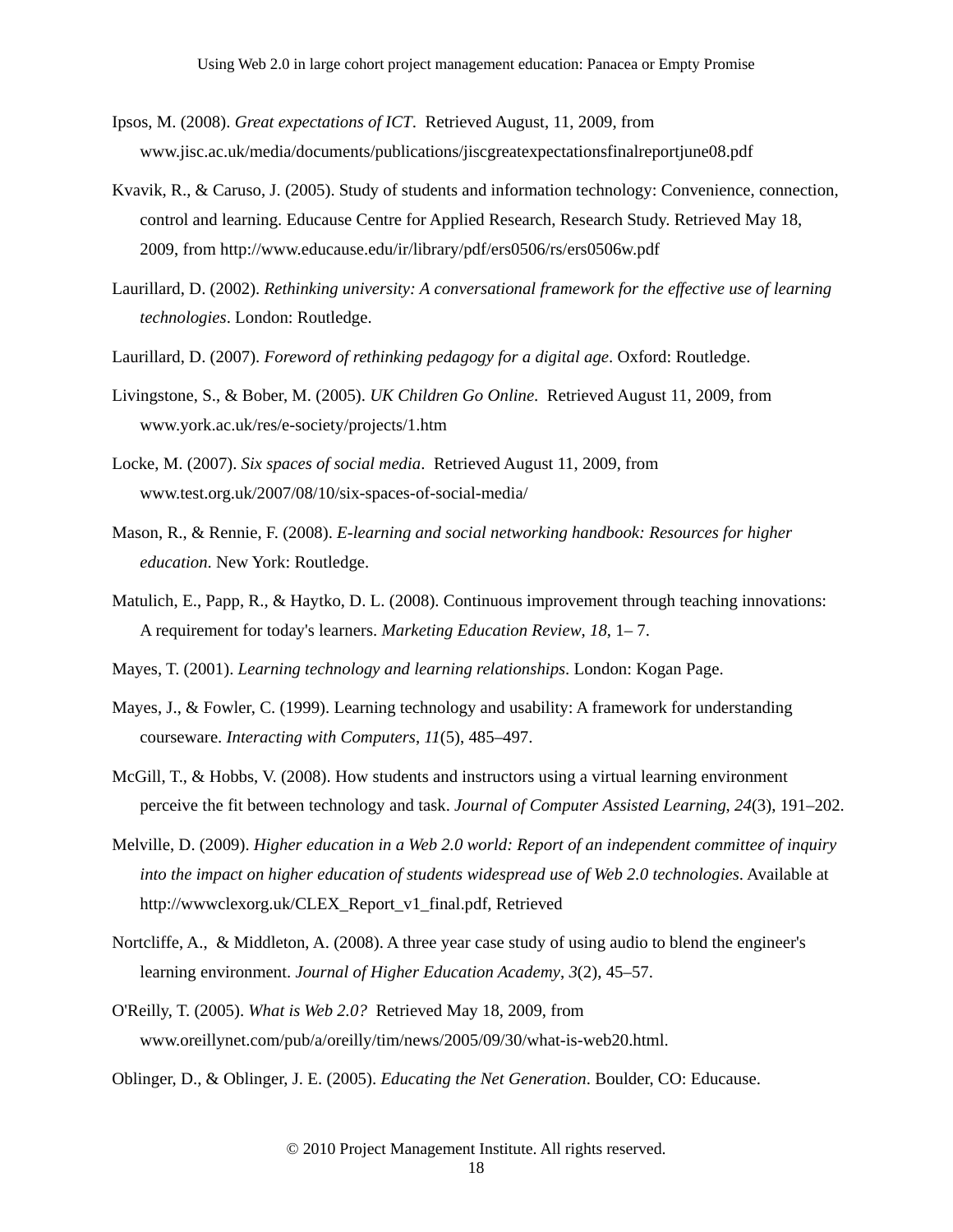- Ipsos, M. (2008). *Great expectations of ICT*. Retrieved August, 11, 2009, from www.jisc.ac.uk/media/documents/publications/jiscgreatexpectationsfinalreportjune08.pdf
- Kvavik, R., & Caruso, J. (2005). Study of students and information technology: Convenience, connection, control and learning. Educause Centre for Applied Research, Research Study. Retrieved May 18, 2009, from http://www.educause.edu/ir/library/pdf/ers0506/rs/ers0506w.pdf
- Laurillard, D. (2002). *Rethinking university: A conversational framework for the effective use of learning technologies*. London: Routledge.
- Laurillard, D. (2007). *Foreword of rethinking pedagogy for a digital age*. Oxford: Routledge.
- Livingstone, S., & Bober, M. (2005). *UK Children Go Online*. Retrieved August 11, 2009, from www.york.ac.uk/res/e-society/projects/1.htm
- Locke, M. (2007). *Six spaces of social media*. Retrieved August 11, 2009, from www.test.org.uk/2007/08/10/six-spaces-of-social-media/
- Mason, R., & Rennie, F. (2008). *E-learning and social networking handbook: Resources for higher education*. New York: Routledge.
- Matulich, E., Papp, R., & Haytko, D. L. (2008). Continuous improvement through teaching innovations: A requirement for today's learners. *Marketing Education Review*, *18*, 1– 7.
- Mayes, T. (2001). *Learning technology and learning relationships*. London: Kogan Page.
- Mayes, J., & Fowler, C. (1999). Learning technology and usability: A framework for understanding courseware. *Interacting with Computers*, *11*(5), 485–497.
- McGill, T., & Hobbs, V. (2008). How students and instructors using a virtual learning environment perceive the fit between technology and task. *Journal of Computer Assisted Learning*, *24*(3), 191–202.
- Melville, D. (2009). *Higher education in a Web 2.0 world: Report of an independent committee of inquiry into the impact on higher education of students widespread use of Web 2.0 technologies*. Available at http://wwwclexorg.uk/CLEX\_Report\_v1\_final.pdf, Retrieved
- Nortcliffe, A., & Middleton, A. (2008). A three year case study of using audio to blend the engineer's learning environment. *Journal of Higher Education Academy*, *3*(2), 45–57.
- O'Reilly, T. (2005). *What is Web 2.0?* Retrieved May 18, 2009, from www.oreillynet.com/pub/a/oreilly/tim/news/2005/09/30/what-is-web20.html.
- Oblinger, D., & Oblinger, J. E. (2005). *Educating the Net Generation*. Boulder, CO: Educause.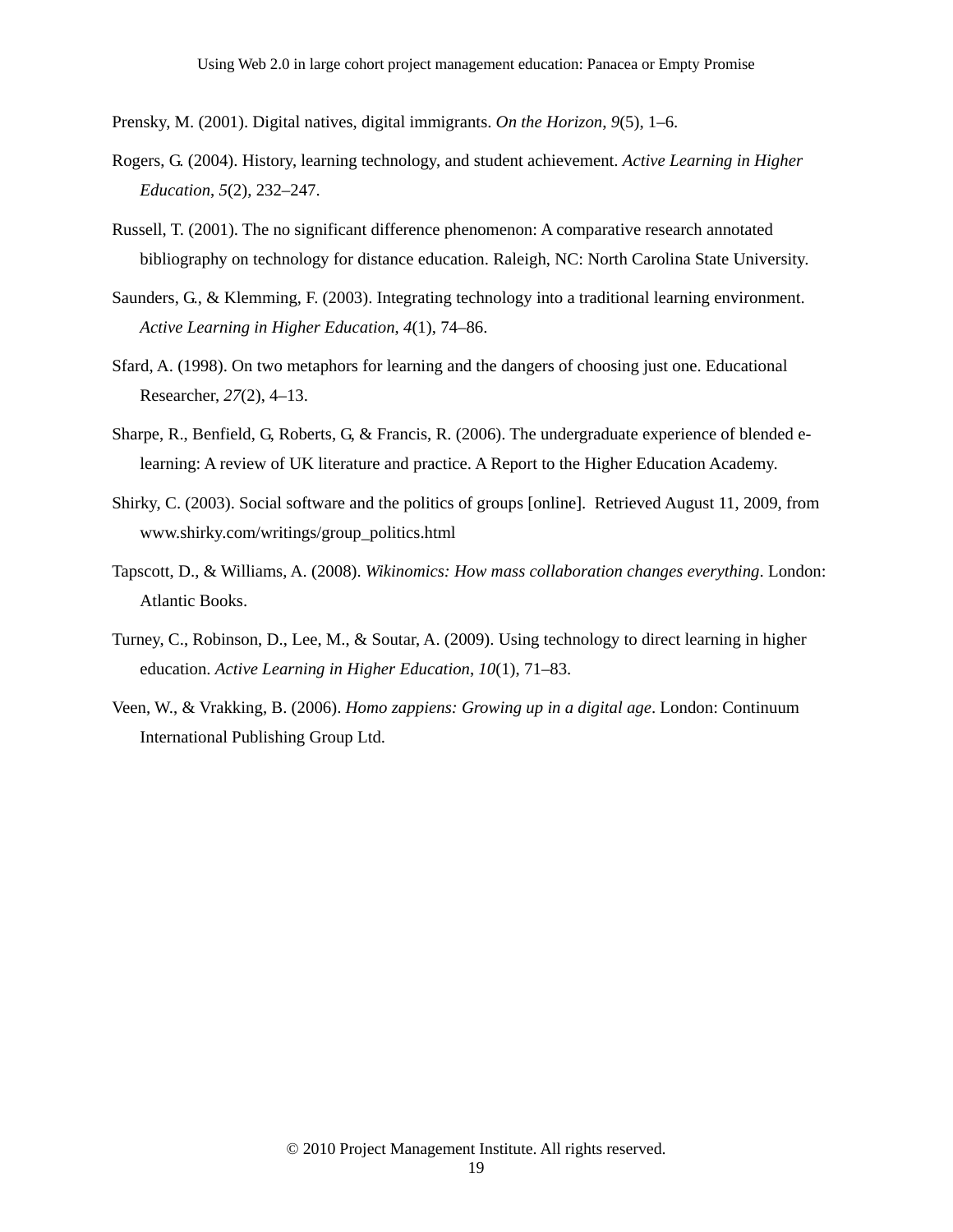Prensky, M. (2001). Digital natives, digital immigrants. *On the Horizon*, *9*(5), 1–6.

- Rogers, G. (2004). History, learning technology, and student achievement. *Active Learning in Higher Education*, *5*(2), 232–247.
- Russell, T. (2001). The no significant difference phenomenon: A comparative research annotated bibliography on technology for distance education. Raleigh, NC: North Carolina State University.
- Saunders, G., & Klemming, F. (2003). Integrating technology into a traditional learning environment. *Active Learning in Higher Education*, *4*(1), 74–86.
- Sfard, A. (1998). On two metaphors for learning and the dangers of choosing just one. Educational Researcher, *27*(2), 4–13.
- Sharpe, R., Benfield, G, Roberts, G, & Francis, R. (2006). The undergraduate experience of blended elearning: A review of UK literature and practice. A Report to the Higher Education Academy.
- Shirky, C. (2003). Social software and the politics of groups [online]. Retrieved August 11, 2009, from www.shirky.com/writings/group\_politics.html
- Tapscott, D., & Williams, A. (2008). *Wikinomics: How mass collaboration changes everything*. London: Atlantic Books.
- Turney, C., Robinson, D., Lee, M., & Soutar, A. (2009). Using technology to direct learning in higher education. *Active Learning in Higher Education*, *10*(1), 71–83.
- Veen, W., & Vrakking, B. (2006). *Homo zappiens: Growing up in a digital age*. London: Continuum International Publishing Group Ltd.